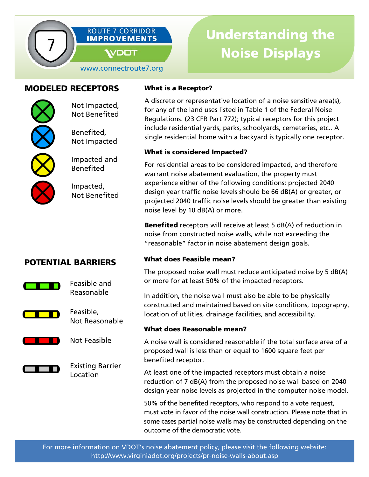

www.connectroute7.org

## MODELED RECEPTORS

Not Impacted, Not Benefited

l

Benefited, Not Impacted

Impacted and Benefited

Impacted, Not Benefited

#### What is a Receptor?

A discrete or representative location of a noise sensitive area(s), for any of the land uses listed in Table 1 of the Federal Noise Regulations. (23 CFR Part 772); typical receptors for this project include residential yards, parks, schoolyards, cemeteries, etc.. A single residential home with a backyard is typically one receptor.

#### What is considered Impacted?

For residential areas to be considered impacted, and therefore warrant noise abatement evaluation, the property must experience either of the following conditions: projected 2040 design year traffic noise levels should be 66 dB(A) or greater, or projected 2040 traffic noise levels should be greater than existing noise level by 10 dB(A) or more.

**Benefited** receptors will receive at least 5 dB(A) of reduction in noise from constructed noise walls, while not exceeding the "reasonable" factor in noise abatement design goals.

### What does Feasible mean?

The proposed noise wall must reduce anticipated noise by 5 dB(A) or more for at least 50% of the impacted receptors.

In addition, the noise wall must also be able to be physically constructed and maintained based on site conditions, topography, location of utilities, drainage facilities, and accessibility.

#### What does Reasonable mean?

A noise wall is considered reasonable if the total surface area of a proposed wall is less than or equal to 1600 square feet per benefited receptor.

At least one of the impacted receptors must obtain a noise reduction of 7 dB(A) from the proposed noise wall based on 2040 design year noise levels as projected in the computer noise model.

50% of the benefited receptors, who respond to a vote request, must vote in favor of the noise wall construction. Please note that in some cases partial noise walls may be constructed depending on the outcome of the democratic vote.

# POTENTIAL BARRIERS



Feasible and Reasonable



Feasible, Not Reasonable

Not Feasible





Existing Barrier Location

For more information on VDOT's noise abatement policy, please visit the following website: http://www.virginiadot.org/projects/pr-noise-walls-about.asp